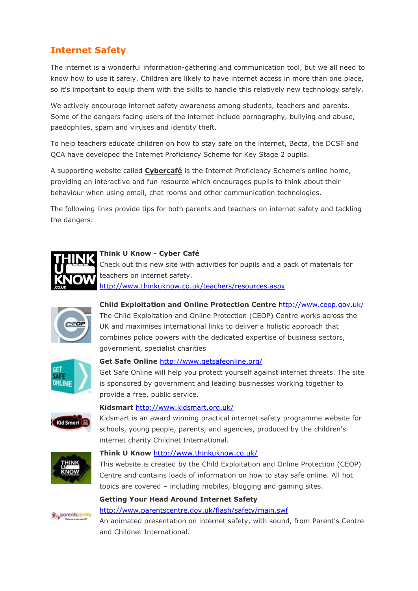# **Internet Safety**

The internet is a wonderful information-gathering and communication tool, but we all need to know how to use it safely. Children are likely to have internet access in more than one place, so it's important to equip them with the skills to handle this relatively new technology safely.

We actively encourage internet safety awareness among students, teachers and parents. Some of the dangers facing users of the internet include pornography, bullying and abuse, paedophiles, spam and viruses and identity theft.

To help teachers educate children on how to stay safe on the internet, Becta, the DCSF and QCA have developed the Internet Proficiency Scheme for Key Stage 2 pupils.

A supporting website called **[Cybercafé](http://www.gridclub.com/teachers/t_internet_safety.html)** is the Internet Proficiency Scheme's online home, providing an interactive and fun resource which encourages pupils to think about their behaviour when using email, chat rooms and other communication technologies.

The following links provide tips for both parents and teachers on internet safety and tackling the dangers:

# **[Think U Know -](http://www.thinkuknow.co.uk/8_10/cybercafe/) Cyber Café**

Check out this new site with activities for pupils and a pack of materials for teachers on internet safety. <http://www.thinkuknow.co.uk/teachers/resources.aspx>



**[Child Exploitation and Online Protection Centre](http://www.ceop.gov.uk/)** <http://www.ceop.gov.uk/>

The Child Exploitation and Online Protection (CEOP) Centre works across the UK and maximises international links to deliver a holistic approach that combines police powers with the dedicated expertise of business sectors, government, specialist charities



# **[Get Safe Online](http://www.getsafeonline.org/)** <http://www.getsafeonline.org/>

Get Safe Online will help you protect yourself against internet threats. The site is sponsored by government and leading businesses working together to provide a free, public service.



# **[Kidsmart](http://www.kidsmart.org.uk/)** <http://www.kidsmart.org.uk/>

Kidsmart is an award winning practical internet safety programme website for schools, young people, parents, and agencies, produced by the children's internet charity Childnet International.



# **[Think U Know](http://www.thinkuknow.co.uk/)** <http://www.thinkuknow.co.uk/>

This website is created by the Child Exploitation and Online Protection (CEOP) Centre and contains loads of information on how to stay safe online. All hot topics are covered – including mobiles, blogging and gaming sites.

# **[Getting Your Head Around Internet Safety](http://www.parentscentre.gov.uk/flash/safety/main.swf)**



#### <http://www.parentscentre.gov.uk/flash/safety/main.swf>

An animated presentation on internet safety, with sound, from Parent's Centre and Childnet International.